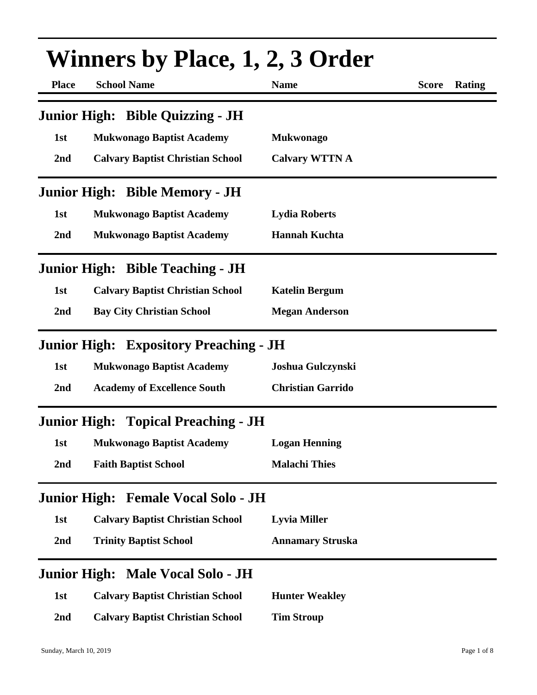| <b>Winners by Place, 1, 2, 3 Order</b> |                                               |                          |              |        |
|----------------------------------------|-----------------------------------------------|--------------------------|--------------|--------|
| <b>Place</b>                           | <b>School Name</b>                            | <b>Name</b>              | <b>Score</b> | Rating |
|                                        | Junior High: Bible Quizzing - JH              |                          |              |        |
| 1st                                    | <b>Mukwonago Baptist Academy</b>              | <b>Mukwonago</b>         |              |        |
| 2nd                                    | <b>Calvary Baptist Christian School</b>       | <b>Calvary WTTN A</b>    |              |        |
|                                        | <b>Junior High: Bible Memory - JH</b>         |                          |              |        |
| 1st                                    | <b>Mukwonago Baptist Academy</b>              | <b>Lydia Roberts</b>     |              |        |
| 2nd                                    | <b>Mukwonago Baptist Academy</b>              | <b>Hannah Kuchta</b>     |              |        |
|                                        | <b>Junior High: Bible Teaching - JH</b>       |                          |              |        |
| 1st                                    | <b>Calvary Baptist Christian School</b>       | <b>Katelin Bergum</b>    |              |        |
| 2nd                                    | <b>Bay City Christian School</b>              | <b>Megan Anderson</b>    |              |        |
|                                        | <b>Junior High: Expository Preaching - JH</b> |                          |              |        |
| 1st                                    | <b>Mukwonago Baptist Academy</b>              | Joshua Gulczynski        |              |        |
| 2nd                                    | <b>Academy of Excellence South</b>            | <b>Christian Garrido</b> |              |        |
|                                        | <b>Junior High: Topical Preaching - JH</b>    |                          |              |        |
| 1st                                    | <b>Mukwonago Baptist Academy</b>              | <b>Logan Henning</b>     |              |        |
| 2 <sub>nd</sub>                        | <b>Faith Baptist School</b>                   | <b>Malachi Thies</b>     |              |        |
|                                        | Junior High: Female Vocal Solo - JH           |                          |              |        |
| 1st                                    | <b>Calvary Baptist Christian School</b>       | <b>Lyvia Miller</b>      |              |        |
| 2nd                                    | <b>Trinity Baptist School</b>                 | <b>Annamary Struska</b>  |              |        |
|                                        | Junior High: Male Vocal Solo - JH             |                          |              |        |
| 1st                                    | <b>Calvary Baptist Christian School</b>       | <b>Hunter Weakley</b>    |              |        |
| 2nd                                    | <b>Calvary Baptist Christian School</b>       | <b>Tim Stroup</b>        |              |        |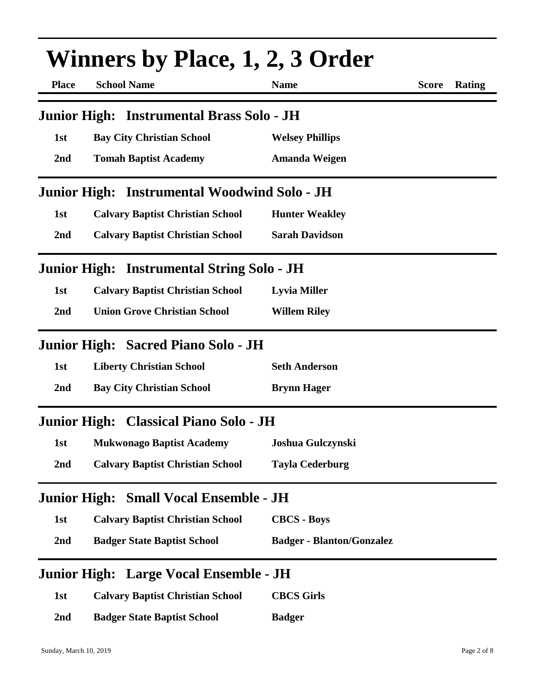| <b>Winners by Place, 1, 2, 3 Order</b> |                                                   |                                  |              |        |
|----------------------------------------|---------------------------------------------------|----------------------------------|--------------|--------|
| <b>Place</b>                           | <b>School Name</b>                                | <b>Name</b>                      | <b>Score</b> | Rating |
|                                        | Junior High: Instrumental Brass Solo - JH         |                                  |              |        |
| 1st                                    | <b>Bay City Christian School</b>                  | <b>Welsey Phillips</b>           |              |        |
| 2nd                                    | <b>Tomah Baptist Academy</b>                      | Amanda Weigen                    |              |        |
| <b>Junior High:</b>                    | <b>Instrumental Woodwind Solo - JH</b>            |                                  |              |        |
| 1st                                    | <b>Calvary Baptist Christian School</b>           | <b>Hunter Weakley</b>            |              |        |
| 2nd                                    | <b>Calvary Baptist Christian School</b>           | <b>Sarah Davidson</b>            |              |        |
|                                        | <b>Junior High: Instrumental String Solo - JH</b> |                                  |              |        |
| 1st                                    | <b>Calvary Baptist Christian School</b>           | <b>Lyvia Miller</b>              |              |        |
| 2 <sub>nd</sub>                        | <b>Union Grove Christian School</b>               | <b>Willem Riley</b>              |              |        |
|                                        | Junior High: Sacred Piano Solo - JH               |                                  |              |        |
| 1st                                    | <b>Liberty Christian School</b>                   | <b>Seth Anderson</b>             |              |        |
| 2nd                                    | <b>Bay City Christian School</b>                  | <b>Brynn Hager</b>               |              |        |
|                                        | Junior High: Classical Piano Solo - JH            |                                  |              |        |
| 1st                                    | <b>Mukwonago Baptist Academy</b>                  | Joshua Gulczynski                |              |        |
| 2nd                                    | <b>Calvary Baptist Christian School</b>           | <b>Tayla Cederburg</b>           |              |        |
| <b>Junior High:</b>                    | <b>Small Vocal Ensemble - JH</b>                  |                                  |              |        |
| 1st                                    | <b>Calvary Baptist Christian School</b>           | <b>CBCS - Boys</b>               |              |        |
| 2nd                                    | <b>Badger State Baptist School</b>                | <b>Badger - Blanton/Gonzalez</b> |              |        |
|                                        | Junior High: Large Vocal Ensemble - JH            |                                  |              |        |
| 1st                                    | <b>Calvary Baptist Christian School</b>           | <b>CBCS Girls</b>                |              |        |
| 2 <sub>nd</sub>                        | <b>Badger State Baptist School</b>                | <b>Badger</b>                    |              |        |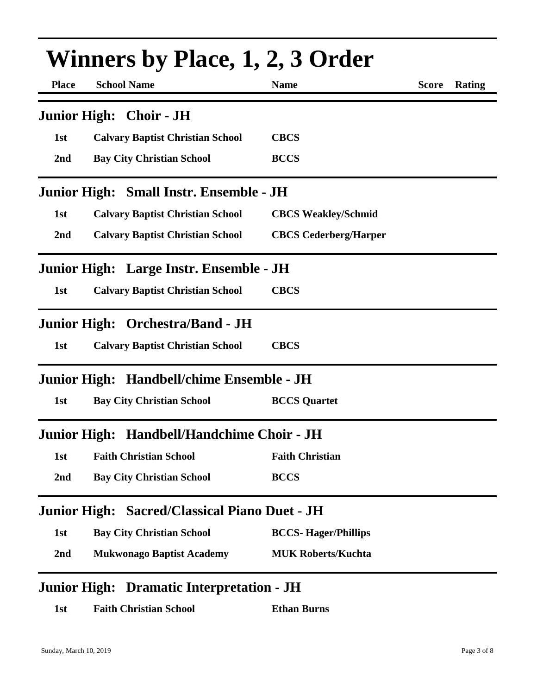| <b>Winners by Place, 1, 2, 3 Order</b> |                                               |                              |              |               |
|----------------------------------------|-----------------------------------------------|------------------------------|--------------|---------------|
| <b>Place</b>                           | <b>School Name</b>                            | <b>Name</b>                  | <b>Score</b> | <b>Rating</b> |
|                                        | Junior High: Choir - JH                       |                              |              |               |
| 1st                                    | <b>Calvary Baptist Christian School</b>       | <b>CBCS</b>                  |              |               |
| 2nd                                    | <b>Bay City Christian School</b>              | <b>BCCS</b>                  |              |               |
|                                        | Junior High: Small Instr. Ensemble - JH       |                              |              |               |
| 1st                                    | <b>Calvary Baptist Christian School</b>       | <b>CBCS Weakley/Schmid</b>   |              |               |
| 2nd                                    | <b>Calvary Baptist Christian School</b>       | <b>CBCS Cederberg/Harper</b> |              |               |
|                                        | Junior High: Large Instr. Ensemble - JH       |                              |              |               |
| 1st                                    | <b>Calvary Baptist Christian School</b>       | <b>CBCS</b>                  |              |               |
|                                        | Junior High: Orchestra/Band - JH              |                              |              |               |
| 1st                                    | <b>Calvary Baptist Christian School</b>       | <b>CBCS</b>                  |              |               |
|                                        | Junior High: Handbell/chime Ensemble - JH     |                              |              |               |
| 1st                                    | <b>Bay City Christian School</b>              | <b>BCCS</b> Quartet          |              |               |
| <b>Junior High:</b>                    | Handbell/Handchime Choir - JH                 |                              |              |               |
| 1st                                    | <b>Faith Christian School</b>                 | <b>Faith Christian</b>       |              |               |
| 2 <sub>nd</sub>                        | <b>Bay City Christian School</b>              | <b>BCCS</b>                  |              |               |
|                                        | Junior High: Sacred/Classical Piano Duet - JH |                              |              |               |
| 1st                                    | <b>Bay City Christian School</b>              | <b>BCCS-Hager/Phillips</b>   |              |               |
| 2nd                                    | <b>Mukwonago Baptist Academy</b>              | <b>MUK Roberts/Kuchta</b>    |              |               |
|                                        | Junior High: Dramatic Interpretation - JH     |                              |              |               |

| <b>Ethan Burns</b> |
|--------------------|
|                    |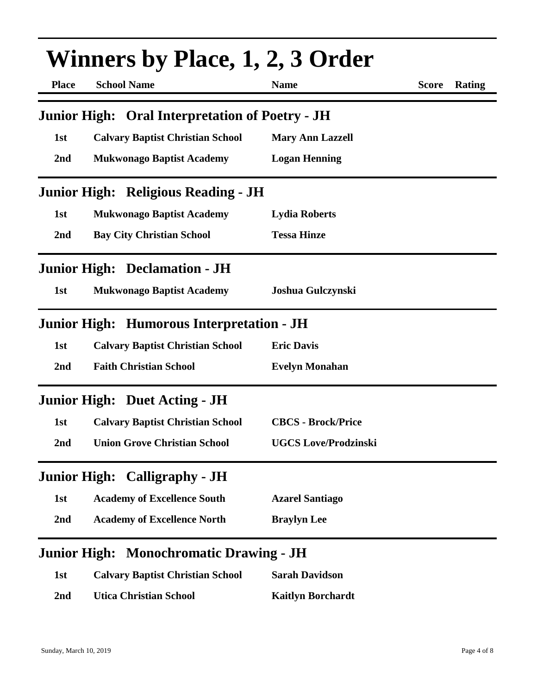| <b>Winners by Place, 1, 2, 3 Order</b> |                                                        |                             |              |        |
|----------------------------------------|--------------------------------------------------------|-----------------------------|--------------|--------|
| <b>Place</b>                           | <b>School Name</b>                                     | <b>Name</b>                 | <b>Score</b> | Rating |
|                                        | <b>Junior High: Oral Interpretation of Poetry - JH</b> |                             |              |        |
| 1st                                    | <b>Calvary Baptist Christian School</b>                | <b>Mary Ann Lazzell</b>     |              |        |
| 2nd                                    | <b>Mukwonago Baptist Academy</b>                       | <b>Logan Henning</b>        |              |        |
|                                        | Junior High: Religious Reading - JH                    |                             |              |        |
| 1st                                    | <b>Mukwonago Baptist Academy</b>                       | <b>Lydia Roberts</b>        |              |        |
| 2nd                                    | <b>Bay City Christian School</b>                       | <b>Tessa Hinze</b>          |              |        |
|                                        | <b>Junior High: Declamation - JH</b>                   |                             |              |        |
| 1st                                    | <b>Mukwonago Baptist Academy</b>                       | Joshua Gulczynski           |              |        |
|                                        | Junior High: Humorous Interpretation - JH              |                             |              |        |
| 1st                                    | <b>Calvary Baptist Christian School</b>                | <b>Eric Davis</b>           |              |        |
| 2nd                                    | <b>Faith Christian School</b>                          | <b>Evelyn Monahan</b>       |              |        |
|                                        | <b>Junior High: Duet Acting - JH</b>                   |                             |              |        |
| 1st                                    | <b>Calvary Baptist Christian School</b>                | <b>CBCS - Brock/Price</b>   |              |        |
| 2nd                                    | <b>Union Grove Christian School</b>                    | <b>UGCS Love/Prodzinski</b> |              |        |
|                                        | <b>Junior High: Calligraphy - JH</b>                   |                             |              |        |
| 1st                                    | <b>Academy of Excellence South</b>                     | <b>Azarel Santiago</b>      |              |        |
| 2nd                                    | <b>Academy of Excellence North</b>                     | <b>Braylyn Lee</b>          |              |        |
|                                        | Junior High: Monochromatic Drawing - JH                |                             |              |        |
| 1st                                    | <b>Calvary Baptist Christian School</b>                | <b>Sarah Davidson</b>       |              |        |
| 2 <sub>nd</sub>                        | <b>Utica Christian School</b>                          | <b>Kaitlyn Borchardt</b>    |              |        |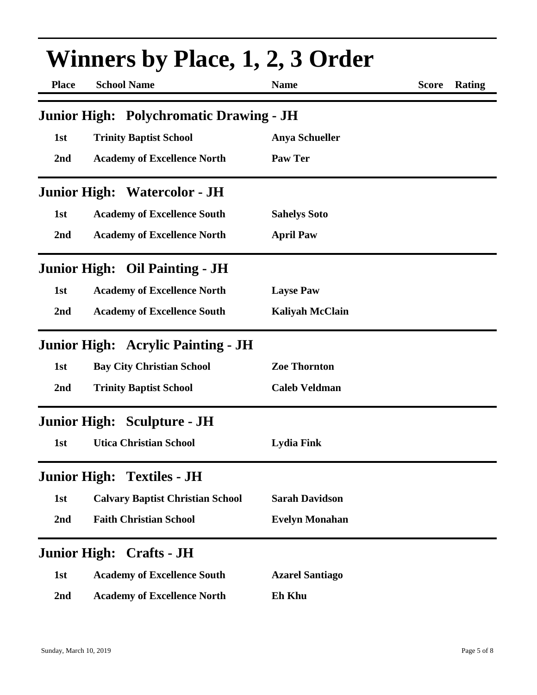| <b>Winners by Place, 1, 2, 3 Order</b> |                                                |                        |              |        |
|----------------------------------------|------------------------------------------------|------------------------|--------------|--------|
| <b>Place</b>                           | <b>School Name</b>                             | <b>Name</b>            | <b>Score</b> | Rating |
|                                        | <b>Junior High: Polychromatic Drawing - JH</b> |                        |              |        |
| 1st                                    | <b>Trinity Baptist School</b>                  | <b>Anya Schueller</b>  |              |        |
| 2nd                                    | <b>Academy of Excellence North</b>             | Paw Ter                |              |        |
|                                        | <b>Junior High: Watercolor - JH</b>            |                        |              |        |
| 1st                                    | <b>Academy of Excellence South</b>             | <b>Sahelys Soto</b>    |              |        |
| 2nd                                    | <b>Academy of Excellence North</b>             | <b>April Paw</b>       |              |        |
|                                        | <b>Junior High: Oil Painting - JH</b>          |                        |              |        |
| 1st                                    | <b>Academy of Excellence North</b>             | <b>Layse Paw</b>       |              |        |
| 2nd                                    | <b>Academy of Excellence South</b>             | <b>Kaliyah McClain</b> |              |        |
|                                        | <b>Junior High: Acrylic Painting - JH</b>      |                        |              |        |
| 1st                                    | <b>Bay City Christian School</b>               | <b>Zoe Thornton</b>    |              |        |
| 2nd                                    | <b>Trinity Baptist School</b>                  | <b>Caleb Veldman</b>   |              |        |
|                                        | <b>Junior High: Sculpture - JH</b>             |                        |              |        |
| <b>1st</b>                             | <b>Utica Christian School</b>                  | <b>Lydia Fink</b>      |              |        |
|                                        | <b>Junior High: Textiles - JH</b>              |                        |              |        |
| 1st                                    | <b>Calvary Baptist Christian School</b>        | <b>Sarah Davidson</b>  |              |        |
| 2nd                                    | <b>Faith Christian School</b>                  | <b>Evelyn Monahan</b>  |              |        |
|                                        | <b>Junior High: Crafts - JH</b>                |                        |              |        |
| 1st                                    | <b>Academy of Excellence South</b>             | <b>Azarel Santiago</b> |              |        |
| 2nd                                    | <b>Academy of Excellence North</b>             | <b>Eh Khu</b>          |              |        |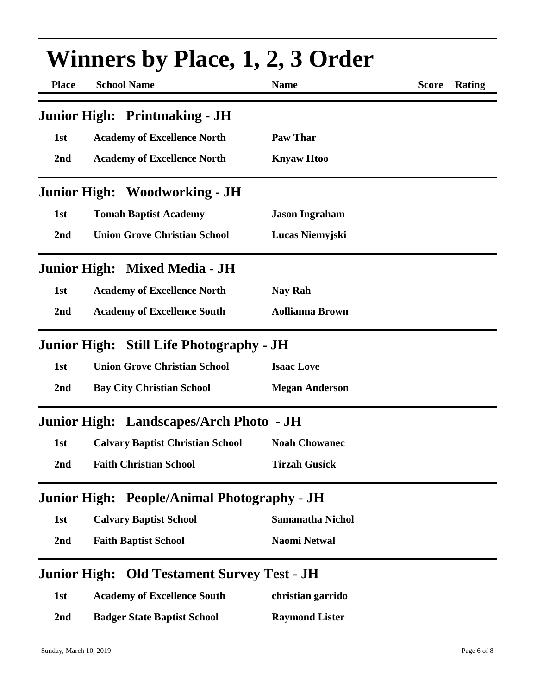| <b>Winners by Place, 1, 2, 3 Order</b> |                                                    |                         |              |               |
|----------------------------------------|----------------------------------------------------|-------------------------|--------------|---------------|
| <b>Place</b>                           | <b>School Name</b>                                 | <b>Name</b>             | <b>Score</b> | <b>Rating</b> |
|                                        | <b>Junior High: Printmaking - JH</b>               |                         |              |               |
| 1st                                    | <b>Academy of Excellence North</b>                 | <b>Paw Thar</b>         |              |               |
| 2nd                                    | <b>Academy of Excellence North</b>                 | <b>Knyaw Htoo</b>       |              |               |
|                                        | <b>Junior High: Woodworking - JH</b>               |                         |              |               |
| 1st                                    | <b>Tomah Baptist Academy</b>                       | <b>Jason Ingraham</b>   |              |               |
| 2nd                                    | <b>Union Grove Christian School</b>                | Lucas Niemyjski         |              |               |
|                                        | Junior High: Mixed Media - JH                      |                         |              |               |
| 1st                                    | <b>Academy of Excellence North</b>                 | Nay Rah                 |              |               |
| 2nd                                    | <b>Academy of Excellence South</b>                 | <b>Aollianna Brown</b>  |              |               |
|                                        | Junior High: Still Life Photography - JH           |                         |              |               |
| 1st                                    | <b>Union Grove Christian School</b>                | <b>Isaac Love</b>       |              |               |
| 2nd                                    | <b>Bay City Christian School</b>                   | <b>Megan Anderson</b>   |              |               |
|                                        | Junior High: Landscapes/Arch Photo - JH            |                         |              |               |
| 1st                                    | <b>Calvary Baptist Christian School</b>            | <b>Noah Chowanec</b>    |              |               |
| 2nd                                    | <b>Faith Christian School</b>                      | <b>Tirzah Gusick</b>    |              |               |
| <b>Junior High:</b>                    | <b>People/Animal Photography - JH</b>              |                         |              |               |
| 1st                                    | <b>Calvary Baptist School</b>                      | <b>Samanatha Nichol</b> |              |               |
| 2nd                                    | <b>Faith Baptist School</b>                        | <b>Naomi Netwal</b>     |              |               |
|                                        | <b>Junior High: Old Testament Survey Test - JH</b> |                         |              |               |
| 1st                                    | <b>Academy of Excellence South</b>                 | christian garrido       |              |               |
| 2nd                                    | <b>Badger State Baptist School</b>                 | <b>Raymond Lister</b>   |              |               |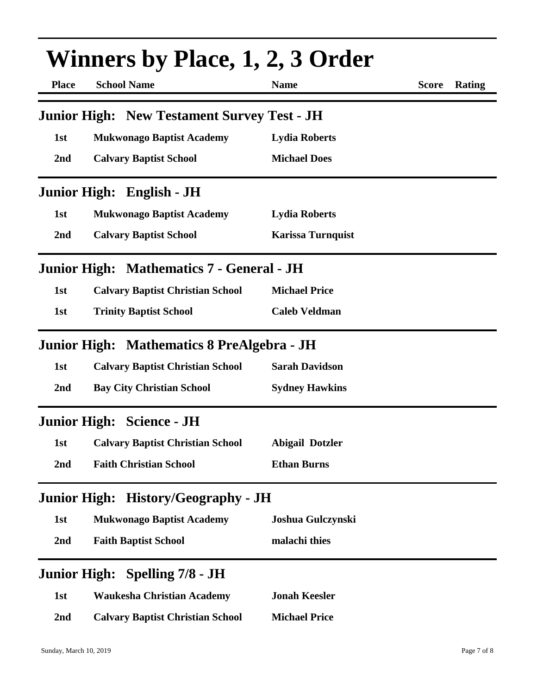| <b>Winners by Place, 1, 2, 3 Order</b> |                                                    |                          |              |               |
|----------------------------------------|----------------------------------------------------|--------------------------|--------------|---------------|
| <b>Place</b>                           | <b>School Name</b>                                 | <b>Name</b>              | <b>Score</b> | <b>Rating</b> |
|                                        | <b>Junior High: New Testament Survey Test - JH</b> |                          |              |               |
| 1st                                    | <b>Mukwonago Baptist Academy</b>                   | <b>Lydia Roberts</b>     |              |               |
| 2nd                                    | <b>Calvary Baptist School</b>                      | <b>Michael Does</b>      |              |               |
|                                        | Junior High: English - JH                          |                          |              |               |
| 1st                                    | <b>Mukwonago Baptist Academy</b>                   | <b>Lydia Roberts</b>     |              |               |
| 2nd                                    | <b>Calvary Baptist School</b>                      | <b>Karissa Turnquist</b> |              |               |
|                                        | <b>Junior High: Mathematics 7 - General - JH</b>   |                          |              |               |
| 1st                                    | <b>Calvary Baptist Christian School</b>            | <b>Michael Price</b>     |              |               |
| 1st                                    | <b>Trinity Baptist School</b>                      | <b>Caleb Veldman</b>     |              |               |
|                                        | Junior High: Mathematics 8 PreAlgebra - JH         |                          |              |               |
| 1st                                    | <b>Calvary Baptist Christian School</b>            | <b>Sarah Davidson</b>    |              |               |
| 2nd                                    | <b>Bay City Christian School</b>                   | <b>Sydney Hawkins</b>    |              |               |
|                                        | <b>Junior High: Science - JH</b>                   |                          |              |               |
| 1st                                    | <b>Calvary Baptist Christian School</b>            | <b>Abigail Dotzler</b>   |              |               |
| 2nd                                    | <b>Faith Christian School</b>                      | <b>Ethan Burns</b>       |              |               |
|                                        | Junior High: History/Geography - JH                |                          |              |               |
| 1st                                    | <b>Mukwonago Baptist Academy</b>                   | Joshua Gulczynski        |              |               |
| 2 <sub>nd</sub>                        | <b>Faith Baptist School</b>                        | malachi thies            |              |               |
| <b>Junior High:</b>                    | Spelling 7/8 - JH                                  |                          |              |               |
| 1st                                    | <b>Waukesha Christian Academy</b>                  | <b>Jonah Keesler</b>     |              |               |
| 2 <sub>nd</sub>                        | <b>Calvary Baptist Christian School</b>            | <b>Michael Price</b>     |              |               |